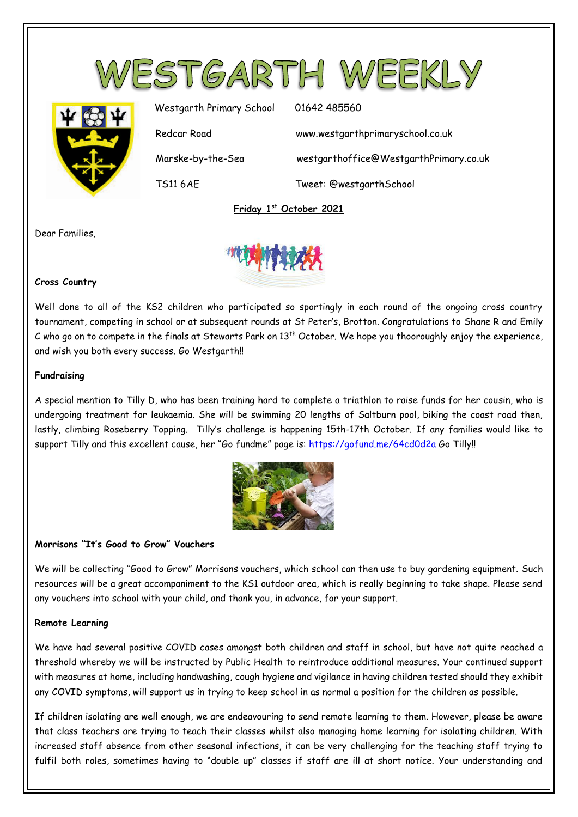



Westgarth Primary School 01642 485560 Redcar Road www.westgarthprimaryschool.co.uk Marske-by-the-Sea westgarthoffice@WestgarthPrimary.co.uk TS11 6AE Tweet: @westgarthSchool

**Friday 1 st October 2021**

Dear Families,



### **Cross Country**

Well done to all of the KS2 children who participated so sportingly in each round of the ongoing cross country tournament, competing in school or at subsequent rounds at St Peter's, Brotton. Congratulations to Shane R and Emily C who go on to compete in the finals at Stewarts Park on  $13<sup>th</sup>$  October. We hope you thooroughly enjoy the experience, and wish you both every success. Go Westgarth!!

#### **Fundraising**

A special mention to Tilly D, who has been training hard to complete a triathlon to raise funds for her cousin, who is undergoing treatment for leukaemia. She will be swimming 20 lengths of Saltburn pool, biking the coast road then, lastly, climbing Roseberry Topping. Tilly's challenge is happening 15th-17th October. If any families would like to support Tilly and this excellent cause, her "Go fundme" page is:<https://gofund.me/64cd0d2a> Go Tilly!!



# **Morrisons "It's Good to Grow" Vouchers**

We will be collecting "Good to Grow" Morrisons vouchers, which school can then use to buy gardening equipment. Such resources will be a great accompaniment to the KS1 outdoor area, which is really beginning to take shape. Please send any vouchers into school with your child, and thank you, in advance, for your support.

# **Remote Learning**

We have had several positive COVID cases amongst both children and staff in school, but have not quite reached a threshold whereby we will be instructed by Public Health to reintroduce additional measures. Your continued support with measures at home, including handwashing, cough hygiene and vigilance in having children tested should they exhibit any COVID symptoms, will support us in trying to keep school in as normal a position for the children as possible.

If children isolating are well enough, we are endeavouring to send remote learning to them. However, please be aware that class teachers are trying to teach their classes whilst also managing home learning for isolating children. With increased staff absence from other seasonal infections, it can be very challenging for the teaching staff trying to fulfil both roles, sometimes having to "double up" classes if staff are ill at short notice. Your understanding and